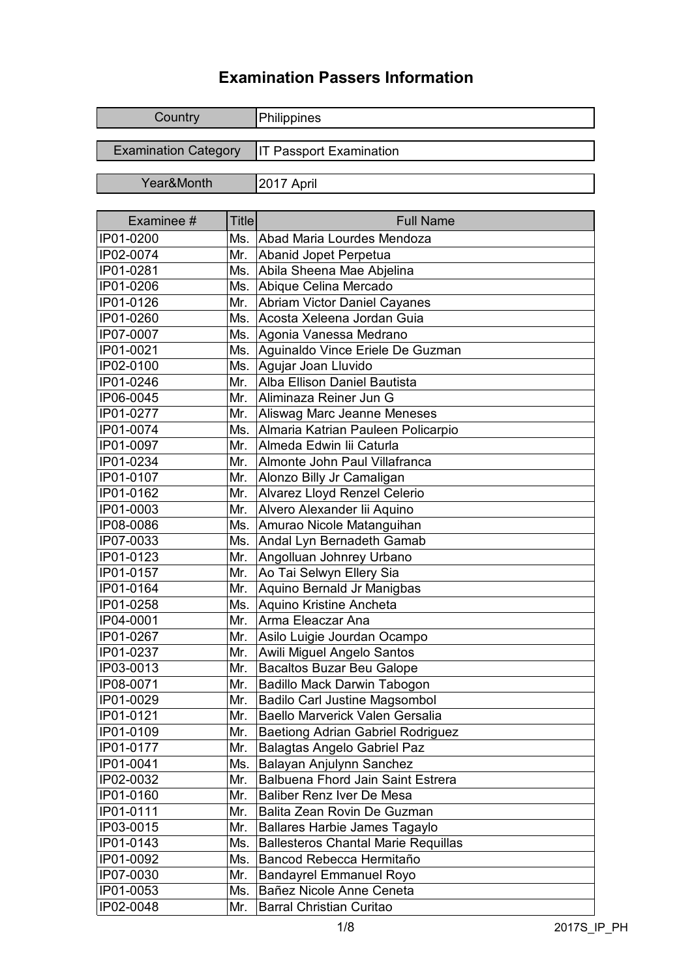## **Examination Passers Information**

| Country                     | Philippines                    |
|-----------------------------|--------------------------------|
| <b>Examination Category</b> | <b>IT Passport Examination</b> |
| Year&Month                  | 2017 April                     |

| Examinee # | <b>Title</b> | <b>Full Name</b>                           |
|------------|--------------|--------------------------------------------|
| IP01-0200  | Ms.          | Abad Maria Lourdes Mendoza                 |
| IP02-0074  | Mr.          | Abanid Jopet Perpetua                      |
| IP01-0281  | Ms.          | Abila Sheena Mae Abjelina                  |
| IP01-0206  | Ms.          | Abique Celina Mercado                      |
| IP01-0126  | Mr.          | Abriam Victor Daniel Cayanes               |
| IP01-0260  | Ms.          | Acosta Xeleena Jordan Guia                 |
| IP07-0007  | Ms.          | Agonia Vanessa Medrano                     |
| IP01-0021  | Ms.          | Aguinaldo Vince Eriele De Guzman           |
| IP02-0100  | Ms.          | Agujar Joan Lluvido                        |
| IP01-0246  | Mr.          | Alba Ellison Daniel Bautista               |
| IP06-0045  | Mr.          | Aliminaza Reiner Jun G                     |
| IP01-0277  | Mr.          | Aliswag Marc Jeanne Meneses                |
| IP01-0074  | Ms.          | Almaria Katrian Pauleen Policarpio         |
| IP01-0097  | Mr.          | Almeda Edwin lii Caturla                   |
| IP01-0234  | Mr.          | Almonte John Paul Villafranca              |
| IP01-0107  | Mr.          | Alonzo Billy Jr Camaligan                  |
| IP01-0162  | Mr.          | Alvarez Lloyd Renzel Celerio               |
| IP01-0003  | Mr.          | Alvero Alexander lii Aquino                |
| IP08-0086  | Ms.          | Amurao Nicole Matanguihan                  |
| IP07-0033  | Ms.          | Andal Lyn Bernadeth Gamab                  |
| IP01-0123  | Mr.          | Angolluan Johnrey Urbano                   |
| IP01-0157  | Mr.          | Ao Tai Selwyn Ellery Sia                   |
| IP01-0164  | Mr.          | Aquino Bernald Jr Manigbas                 |
| IP01-0258  | Ms.          | Aquino Kristine Ancheta                    |
| IP04-0001  | Mr.          | Arma Eleaczar Ana                          |
| IP01-0267  | Mr.          | Asilo Luigie Jourdan Ocampo                |
| IP01-0237  | Mr.          | Awili Miguel Angelo Santos                 |
| IP03-0013  | Mr.          | <b>Bacaltos Buzar Beu Galope</b>           |
| IP08-0071  | Mr.          | Badillo Mack Darwin Tabogon                |
| IP01-0029  | Mr.          | <b>Badilo Carl Justine Magsombol</b>       |
| IP01-0121  | Mr.          | Baello Marverick Valen Gersalia            |
| IP01-0109  | Mr.          | <b>Baetiong Adrian Gabriel Rodriguez</b>   |
| IP01-0177  | Mr.          | <b>Balagtas Angelo Gabriel Paz</b>         |
| IP01-0041  | Ms.          | Balayan Anjulynn Sanchez                   |
| IP02-0032  | Mr.          | Balbuena Fhord Jain Saint Estrera          |
| IP01-0160  | Mr.          | Baliber Renz Iver De Mesa                  |
| IP01-0111  | Mr.          | Balita Zean Rovin De Guzman                |
| IP03-0015  | Mr.          | Ballares Harbie James Tagaylo              |
| IP01-0143  | Ms.          | <b>Ballesteros Chantal Marie Requillas</b> |
| IP01-0092  | Ms.          | Bancod Rebecca Hermitaño                   |
| IP07-0030  | Mr.          | <b>Bandayrel Emmanuel Royo</b>             |
| IP01-0053  | Ms.          | Bañez Nicole Anne Ceneta                   |
| IP02-0048  | Mr.          | <b>Barral Christian Curitao</b>            |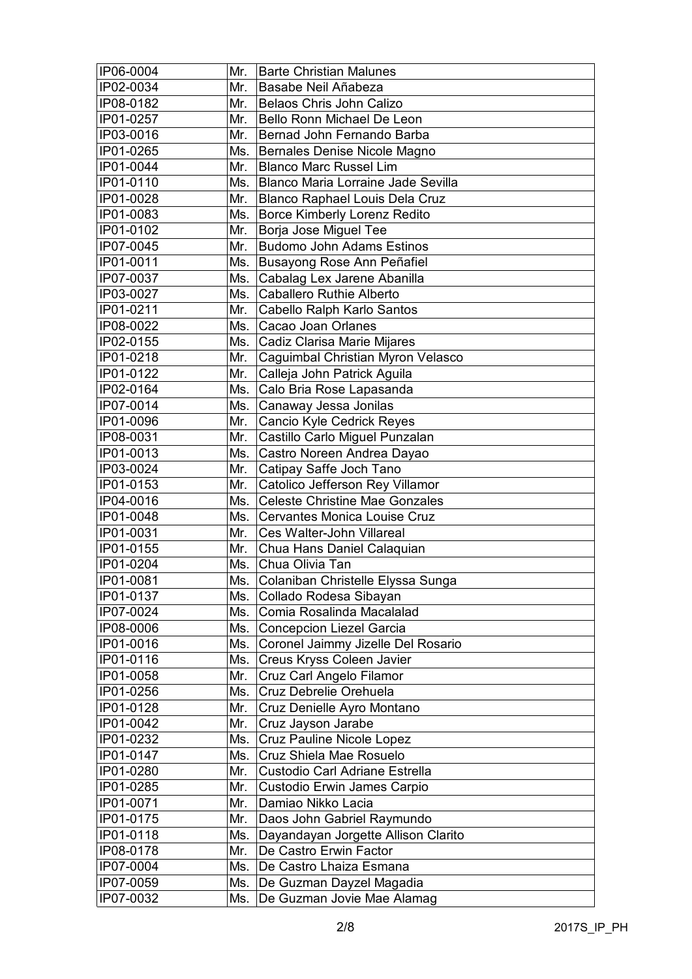| IP06-0004 | Mr. | <b>Barte Christian Malunes</b>        |
|-----------|-----|---------------------------------------|
| IP02-0034 | Mr. | Basabe Neil Añabeza                   |
| IP08-0182 | Mr. | Belaos Chris John Calizo              |
| IP01-0257 | Mr. | Bello Ronn Michael De Leon            |
| IP03-0016 | Mr. | Bernad John Fernando Barba            |
| IP01-0265 | Ms. | Bernales Denise Nicole Magno          |
| IP01-0044 | Mr. | <b>Blanco Marc Russel Lim</b>         |
| IP01-0110 | Ms. | Blanco Maria Lorraine Jade Sevilla    |
| IP01-0028 | Mr. | Blanco Raphael Louis Dela Cruz        |
| IP01-0083 | Ms. | <b>Borce Kimberly Lorenz Redito</b>   |
| IP01-0102 | Mr. | Borja Jose Miguel Tee                 |
| IP07-0045 | Mr. | <b>Budomo John Adams Estinos</b>      |
| IP01-0011 | Ms. | Busayong Rose Ann Peñafiel            |
| IP07-0037 | Ms. | Cabalag Lex Jarene Abanilla           |
| IP03-0027 | Ms. | <b>Caballero Ruthie Alberto</b>       |
| IP01-0211 | Mr. | Cabello Ralph Karlo Santos            |
| IP08-0022 | Ms. | Cacao Joan Orlanes                    |
| IP02-0155 | Ms. | Cadiz Clarisa Marie Mijares           |
| IP01-0218 | Mr. | Caguimbal Christian Myron Velasco     |
| IP01-0122 | Mr. | Calleja John Patrick Aguila           |
| IP02-0164 | Ms. | Calo Bria Rose Lapasanda              |
| IP07-0014 | Ms. | Canaway Jessa Jonilas                 |
| IP01-0096 | Mr. | Cancio Kyle Cedrick Reyes             |
| IP08-0031 | Mr. | Castillo Carlo Miguel Punzalan        |
| IP01-0013 | Ms. | Castro Noreen Andrea Dayao            |
| IP03-0024 | Mr. | Catipay Saffe Joch Tano               |
| IP01-0153 | Mr. | Catolico Jefferson Rey Villamor       |
| IP04-0016 | Ms. | <b>Celeste Christine Mae Gonzales</b> |
| IP01-0048 | Ms. | <b>Cervantes Monica Louise Cruz</b>   |
| IP01-0031 | Mr. | Ces Walter-John Villareal             |
| IP01-0155 | Mr. | Chua Hans Daniel Calaquian            |
| IP01-0204 | Ms. | Chua Olivia Tan                       |
| IP01-0081 | Ms. | Colaniban Christelle Elyssa Sunga     |
| IP01-0137 | Ms. | Collado Rodesa Sibayan                |
| IP07-0024 | Ms. | Comia Rosalinda Macalalad             |
| IP08-0006 | Ms. | <b>Concepcion Liezel Garcia</b>       |
| IP01-0016 | Ms. | Coronel Jaimmy Jizelle Del Rosario    |
| IP01-0116 | Ms. | Creus Kryss Coleen Javier             |
| IP01-0058 | Mr. | Cruz Carl Angelo Filamor              |
| IP01-0256 | Ms. | Cruz Debrelie Orehuela                |
| IP01-0128 | Mr. | Cruz Denielle Ayro Montano            |
| IP01-0042 | Mr. | Cruz Jayson Jarabe                    |
| IP01-0232 | Ms. | Cruz Pauline Nicole Lopez             |
| IP01-0147 | Ms. | Cruz Shiela Mae Rosuelo               |
| IP01-0280 | Mr. | Custodio Carl Adriane Estrella        |
| IP01-0285 | Mr. | Custodio Erwin James Carpio           |
| IP01-0071 | Mr. | Damiao Nikko Lacia                    |
| IP01-0175 | Mr. | Daos John Gabriel Raymundo            |
| IP01-0118 | Ms. | Dayandayan Jorgette Allison Clarito   |
| IP08-0178 | Mr. | De Castro Erwin Factor                |
| IP07-0004 | Ms. | De Castro Lhaiza Esmana               |
| IP07-0059 | Ms. | De Guzman Dayzel Magadia              |
|           |     |                                       |
| IP07-0032 | Ms. | De Guzman Jovie Mae Alamag            |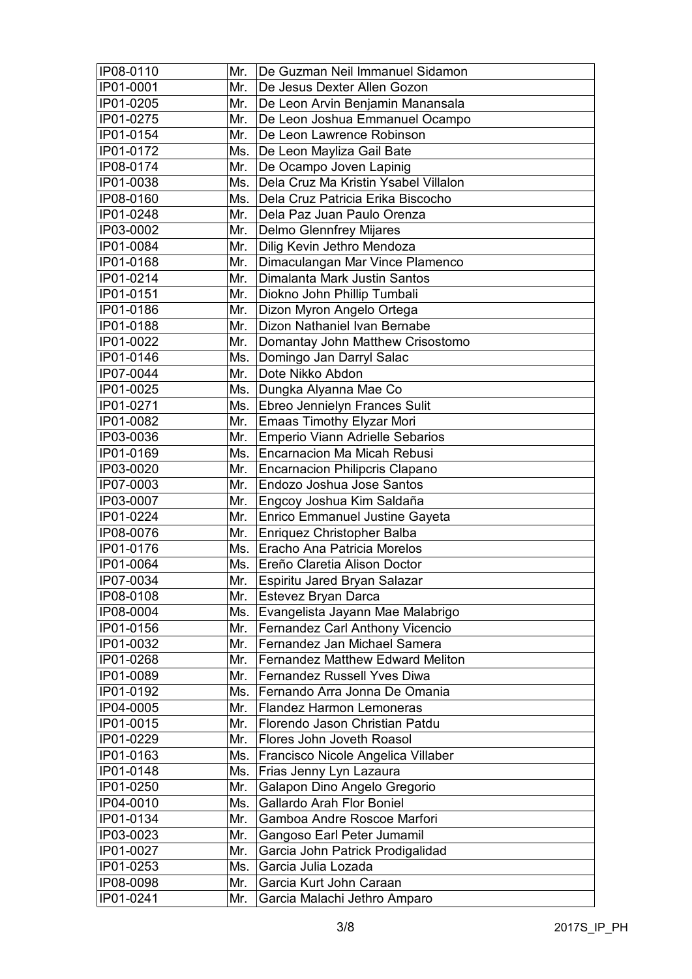| IP08-0110 | Mr. | De Guzman Neil Immanuel Sidamon         |
|-----------|-----|-----------------------------------------|
| IP01-0001 | Mr. | De Jesus Dexter Allen Gozon             |
| IP01-0205 | Mr. | De Leon Arvin Benjamin Manansala        |
| IP01-0275 | Mr. | De Leon Joshua Emmanuel Ocampo          |
| IP01-0154 | Mr. | De Leon Lawrence Robinson               |
| IP01-0172 | Ms. | De Leon Mayliza Gail Bate               |
| IP08-0174 | Mr. | De Ocampo Joven Lapinig                 |
| IP01-0038 | Ms. | Dela Cruz Ma Kristin Ysabel Villalon    |
| IP08-0160 | Ms. | Dela Cruz Patricia Erika Biscocho       |
| IP01-0248 | Mr. | Dela Paz Juan Paulo Orenza              |
| IP03-0002 | Mr. | <b>Delmo Glennfrey Mijares</b>          |
| IP01-0084 | Mr. | Dilig Kevin Jethro Mendoza              |
| IP01-0168 | Mr. | Dimaculangan Mar Vince Plamenco         |
| IP01-0214 | Mr. | Dimalanta Mark Justin Santos            |
| IP01-0151 | Mr. | Diokno John Phillip Tumbali             |
| IP01-0186 | Mr. | Dizon Myron Angelo Ortega               |
| IP01-0188 | Mr. | Dizon Nathaniel Ivan Bernabe            |
| IP01-0022 | Mr. | Domantay John Matthew Crisostomo        |
| IP01-0146 | Ms. | Domingo Jan Darryl Salac                |
| IP07-0044 | Mr. | Dote Nikko Abdon                        |
| IP01-0025 | Ms. | Dungka Alyanna Mae Co                   |
| IP01-0271 | Ms. | Ebreo Jennielyn Frances Sulit           |
| IP01-0082 | Mr. | <b>Emaas Timothy Elyzar Mori</b>        |
| IP03-0036 | Mr. | Emperio Viann Adrielle Sebarios         |
| IP01-0169 | Ms. | Encarnacion Ma Micah Rebusi             |
| IP03-0020 | Mr. | <b>Encarnacion Philipcris Clapano</b>   |
| IP07-0003 | Mr. | Endozo Joshua Jose Santos               |
| IP03-0007 | Mr. | Engcoy Joshua Kim Saldaña               |
| IP01-0224 | Mr. | <b>Enrico Emmanuel Justine Gayeta</b>   |
| IP08-0076 | Mr. | Enriquez Christopher Balba              |
| IP01-0176 | Ms. | Eracho Ana Patricia Morelos             |
| IP01-0064 | Ms. | Ereño Claretia Alison Doctor            |
| IP07-0034 | Mr. | Espiritu Jared Bryan Salazar            |
| IP08-0108 | Mr. | Estevez Bryan Darca                     |
| IP08-0004 | Ms. | Evangelista Jayann Mae Malabrigo        |
| IP01-0156 | Mr. | Fernandez Carl Anthony Vicencio         |
| IP01-0032 | Mr. | Fernandez Jan Michael Samera            |
| IP01-0268 | Mr. | <b>Fernandez Matthew Edward Meliton</b> |
| IP01-0089 | Mr. | Fernandez Russell Yves Diwa             |
| IP01-0192 | Ms. | Fernando Arra Jonna De Omania           |
| IP04-0005 | Mr. | <b>Flandez Harmon Lemoneras</b>         |
| IP01-0015 | Mr. | Florendo Jason Christian Patdu          |
| IP01-0229 | Mr. | Flores John Joveth Roasol               |
| IP01-0163 | Ms. | Francisco Nicole Angelica Villaber      |
| IP01-0148 | Ms. | Frias Jenny Lyn Lazaura                 |
| IP01-0250 | Mr. | Galapon Dino Angelo Gregorio            |
| IP04-0010 | Ms. | Gallardo Arah Flor Boniel               |
| IP01-0134 | Mr. | Gamboa Andre Roscoe Marfori             |
| IP03-0023 | Mr. | Gangoso Earl Peter Jumamil              |
| IP01-0027 | Mr. | Garcia John Patrick Prodigalidad        |
| IP01-0253 | Ms. | Garcia Julia Lozada                     |
| IP08-0098 | Mr. | Garcia Kurt John Caraan                 |
| IP01-0241 | Mr. | Garcia Malachi Jethro Amparo            |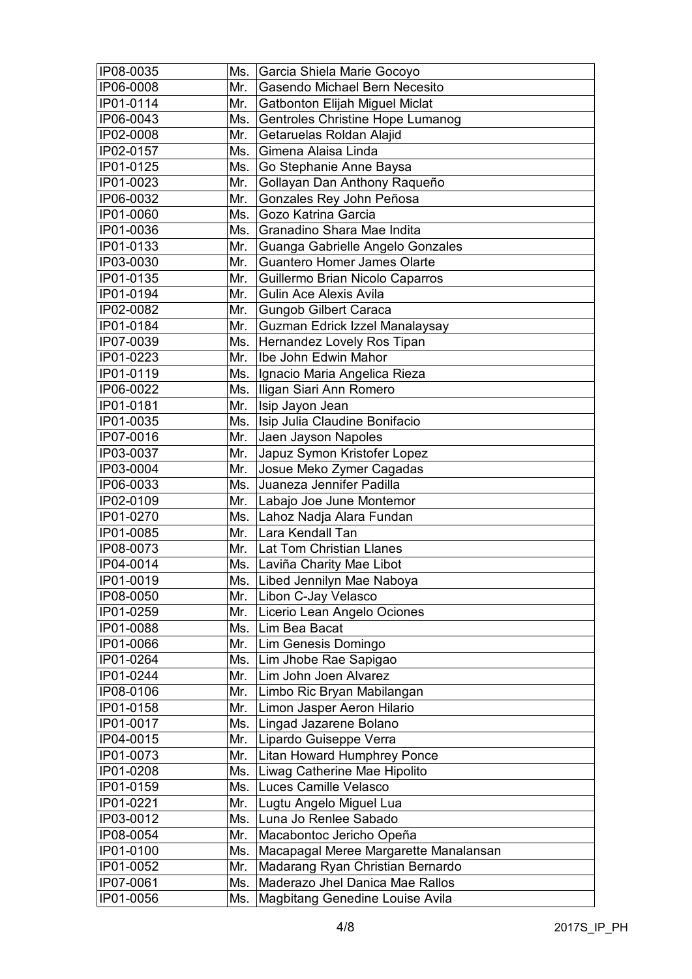| IP08-0035 | Ms. | Garcia Shiela Marie Gocoyo            |
|-----------|-----|---------------------------------------|
| IP06-0008 | Mr. | Gasendo Michael Bern Necesito         |
| IP01-0114 | Mr. | Gatbonton Elijah Miguel Miclat        |
| IP06-0043 | Ms. | Gentroles Christine Hope Lumanog      |
| IP02-0008 | Mr. | Getaruelas Roldan Alajid              |
| IP02-0157 | Ms. | Gimena Alaisa Linda                   |
| IP01-0125 | Ms. | Go Stephanie Anne Baysa               |
| IP01-0023 | Mr. | Gollayan Dan Anthony Raqueño          |
| IP06-0032 | Mr. | Gonzales Rey John Peñosa              |
| IP01-0060 | Ms. | Gozo Katrina Garcia                   |
| IP01-0036 | Ms. | Granadino Shara Mae Indita            |
| IP01-0133 | Mr. | Guanga Gabrielle Angelo Gonzales      |
| IP03-0030 | Mr. | Guantero Homer James Olarte           |
| IP01-0135 | Mr. | Guillermo Brian Nicolo Caparros       |
| IP01-0194 | Mr. | Gulin Ace Alexis Avila                |
| IP02-0082 | Mr. | <b>Gungob Gilbert Caraca</b>          |
| IP01-0184 | Mr. | Guzman Edrick Izzel Manalaysay        |
| IP07-0039 | Ms. | Hernandez Lovely Ros Tipan            |
| IP01-0223 | Mr. | Ibe John Edwin Mahor                  |
| IP01-0119 | Ms. |                                       |
|           | Ms. | Ignacio Maria Angelica Rieza          |
| IP06-0022 |     | Iligan Siari Ann Romero               |
| IP01-0181 | Mr. | Isip Jayon Jean                       |
| IP01-0035 | Ms. | Isip Julia Claudine Bonifacio         |
| IP07-0016 | Mr. | Jaen Jayson Napoles                   |
| IP03-0037 | Mr. | Japuz Symon Kristofer Lopez           |
| IP03-0004 | Mr. | Josue Meko Zymer Cagadas              |
| IP06-0033 | Ms. | Juaneza Jennifer Padilla              |
| IP02-0109 | Mr. | Labajo Joe June Montemor              |
| IP01-0270 | Ms. | Lahoz Nadja Alara Fundan              |
| IP01-0085 | Mr. | Lara Kendall Tan                      |
| IP08-0073 | Mr. | Lat Tom Christian Llanes              |
| IP04-0014 | Ms. | Laviña Charity Mae Libot              |
| IP01-0019 | Ms. | Libed Jennilyn Mae Naboya             |
| IP08-0050 |     | Mr. Libon C-Jay Velasco               |
| IP01-0259 | Mr. | Licerio Lean Angelo Ociones           |
| IP01-0088 | Ms. | Lim Bea Bacat                         |
| IP01-0066 | Mr. | Lim Genesis Domingo                   |
| IP01-0264 | Ms. | Lim Jhobe Rae Sapigao                 |
| IP01-0244 | Mr. | Lim John Joen Alvarez                 |
| IP08-0106 | Mr. | Limbo Ric Bryan Mabilangan            |
| IP01-0158 | Mr. | Limon Jasper Aeron Hilario            |
| IP01-0017 | Ms. | Lingad Jazarene Bolano                |
| IP04-0015 | Mr. | Lipardo Guiseppe Verra                |
| IP01-0073 | Mr. | Litan Howard Humphrey Ponce           |
| IP01-0208 | Ms. | Liwag Catherine Mae Hipolito          |
| IP01-0159 | Ms. | Luces Camille Velasco                 |
| IP01-0221 | Mr. | Lugtu Angelo Miguel Lua               |
| IP03-0012 | Ms. | Luna Jo Renlee Sabado                 |
| IP08-0054 | Mr. | Macabontoc Jericho Opeña              |
| IP01-0100 | Ms. | Macapagal Meree Margarette Manalansan |
| IP01-0052 | Mr. | Madarang Ryan Christian Bernardo      |
| IP07-0061 | Ms. | Maderazo Jhel Danica Mae Rallos       |
| IP01-0056 | Ms. | Magbitang Genedine Louise Avila       |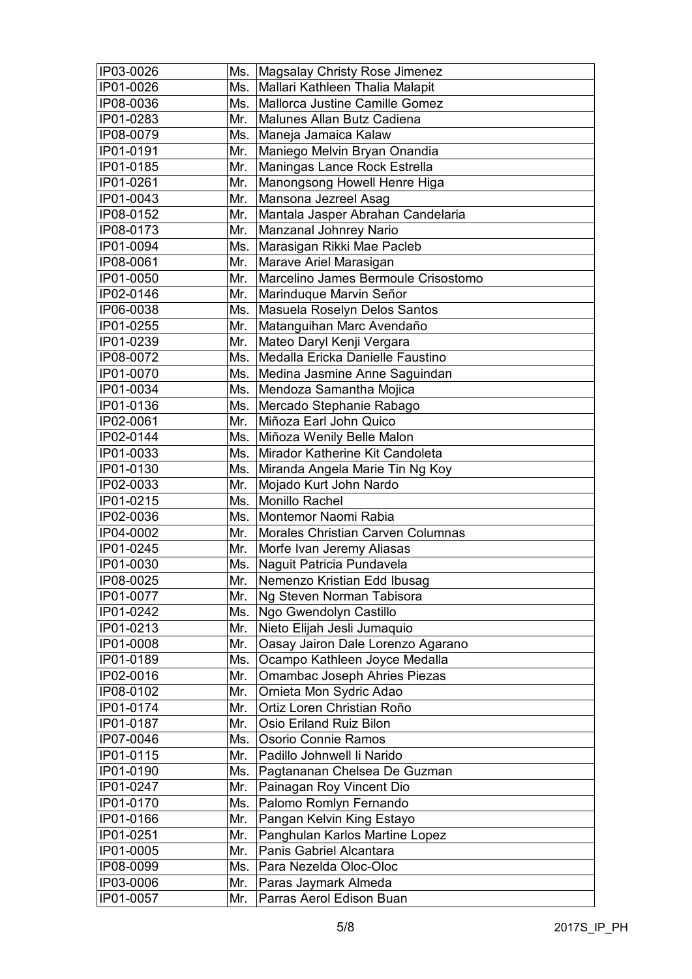| IP03-0026              | Ms.        | Magsalay Christy Rose Jimenez                            |
|------------------------|------------|----------------------------------------------------------|
| IP01-0026              | Ms.        | Mallari Kathleen Thalia Malapit                          |
| IP08-0036              | Ms.        | Mallorca Justine Camille Gomez                           |
| IP01-0283              | Mr.        | Malunes Allan Butz Cadiena                               |
| IP08-0079              | Ms.        | Maneja Jamaica Kalaw                                     |
| IP01-0191              | Mr.        | Maniego Melvin Bryan Onandia                             |
| IP01-0185              | Mr.        | Maningas Lance Rock Estrella                             |
| IP01-0261              | Mr.        | Manongsong Howell Henre Higa                             |
| IP01-0043              | Mr.        | Mansona Jezreel Asag                                     |
| IP08-0152              | Mr.        | Mantala Jasper Abrahan Candelaria                        |
| IP08-0173              | Mr.        | Manzanal Johnrey Nario                                   |
| IP01-0094              | Ms.        | Marasigan Rikki Mae Pacleb                               |
| IP08-0061              | Mr.        | Marave Ariel Marasigan                                   |
| IP01-0050              | Mr.        | Marcelino James Bermoule Crisostomo                      |
| IP02-0146              | Mr.        | Marinduque Marvin Señor                                  |
| IP06-0038              | Ms.        | Masuela Roselyn Delos Santos                             |
| IP01-0255              | Mr.        | Matanguihan Marc Avendaño                                |
| IP01-0239              | Mr.        | Mateo Daryl Kenji Vergara                                |
| IP08-0072              | Ms.        | Medalla Ericka Danielle Faustino                         |
| IP01-0070              | Ms.        | Medina Jasmine Anne Saguindan                            |
| IP01-0034              | Ms.        | Mendoza Samantha Mojica                                  |
| IP01-0136              | Ms.        | Mercado Stephanie Rabago                                 |
| IP02-0061              | Mr.        | Miñoza Earl John Quico                                   |
| IP02-0144              | Ms.        | Miñoza Wenily Belle Malon                                |
|                        | Ms.        | Mirador Katherine Kit Candoleta                          |
| IP01-0033              |            |                                                          |
| IP01-0130              | Ms.        | Miranda Angela Marie Tin Ng Koy                          |
| IP02-0033<br>IP01-0215 | Mr.<br>Ms. | Mojado Kurt John Nardo<br>Monillo Rachel                 |
| IP02-0036              | Ms.        | Montemor Naomi Rabia                                     |
| IP04-0002              | Mr.        | Morales Christian Carven Columnas                        |
| IP01-0245              | Mr.        | Morfe Ivan Jeremy Aliasas                                |
| IP01-0030              | Ms.        | Naguit Patricia Pundavela                                |
| IP08-0025              | Mr.        | Nemenzo Kristian Edd Ibusag                              |
| IP01-0077              | Mr.        | Ng Steven Norman Tabisora                                |
| IP01-0242              | Ms.        | Ngo Gwendolyn Castillo                                   |
| IP01-0213              | Mr.        | Nieto Elijah Jesli Jumaquio                              |
| IP01-0008              | Mr.        | Oasay Jairon Dale Lorenzo Agarano                        |
| IP01-0189              | Ms.        | Ocampo Kathleen Joyce Medalla                            |
| IP02-0016              | Mr.        | Omambac Joseph Ahries Piezas                             |
| IP08-0102              | Mr.        | Ornieta Mon Sydric Adao                                  |
| IP01-0174              | Mr.        | Ortiz Loren Christian Roño                               |
| IP01-0187              | Mr.        | Osio Eriland Ruiz Bilon                                  |
| IP07-0046              | Ms.        | Osorio Connie Ramos                                      |
| IP01-0115              | Mr.        | Padillo Johnwell li Narido                               |
| IP01-0190              | Ms.        |                                                          |
| IP01-0247              | Mr.        | Pagtananan Chelsea De Guzman<br>Painagan Roy Vincent Dio |
| IP01-0170              | Ms.        | Palomo Romlyn Fernando                                   |
| IP01-0166              | Mr.        | Pangan Kelvin King Estayo                                |
| IP01-0251              | Mr.        | Panghulan Karlos Martine Lopez                           |
| IP01-0005              | Mr.        | Panis Gabriel Alcantara                                  |
| IP08-0099              | Ms.        | Para Nezelda Oloc-Oloc                                   |
| IP03-0006              | Mr.        |                                                          |
|                        |            | Paras Jaymark Almeda                                     |
| IP01-0057              | Mr.        | Parras Aerol Edison Buan                                 |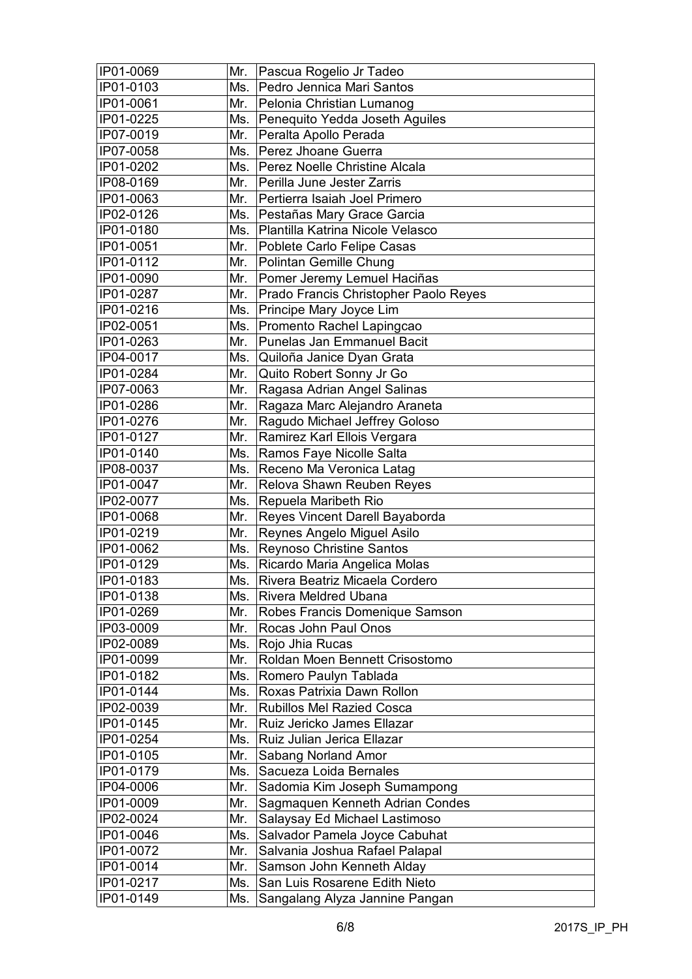| IP01-0069 | Mr. | Pascua Rogelio Jr Tadeo               |
|-----------|-----|---------------------------------------|
| IP01-0103 | Ms. | Pedro Jennica Mari Santos             |
| IP01-0061 | Mr. | Pelonia Christian Lumanog             |
| IP01-0225 | Ms. | Penequito Yedda Joseth Aguiles        |
| IP07-0019 | Mr. | Peralta Apollo Perada                 |
| IP07-0058 | Ms. | Perez Jhoane Guerra                   |
| IP01-0202 | Ms. | Perez Noelle Christine Alcala         |
| IP08-0169 | Mr. | Perilla June Jester Zarris            |
| IP01-0063 | Mr. | Pertierra Isaiah Joel Primero         |
| IP02-0126 | Ms. | Pestañas Mary Grace Garcia            |
| IP01-0180 | Ms. | Plantilla Katrina Nicole Velasco      |
| IP01-0051 | Mr. | Poblete Carlo Felipe Casas            |
| IP01-0112 | Mr. | Polintan Gemille Chung                |
| IP01-0090 | Mr. | Pomer Jeremy Lemuel Haciñas           |
| IP01-0287 | Mr. | Prado Francis Christopher Paolo Reyes |
| IP01-0216 | Ms. | Principe Mary Joyce Lim               |
| IP02-0051 | Ms. | Promento Rachel Lapingcao             |
| IP01-0263 | Mr. | <b>Punelas Jan Emmanuel Bacit</b>     |
| IP04-0017 | Ms. | Quiloña Janice Dyan Grata             |
| IP01-0284 | Mr. | Quito Robert Sonny Jr Go              |
| IP07-0063 | Mr. | Ragasa Adrian Angel Salinas           |
| IP01-0286 | Mr. | Ragaza Marc Alejandro Araneta         |
| IP01-0276 | Mr. | Ragudo Michael Jeffrey Goloso         |
| IP01-0127 | Mr. | Ramirez Karl Ellois Vergara           |
| IP01-0140 | Ms. | Ramos Faye Nicolle Salta              |
| IP08-0037 | Ms. | Receno Ma Veronica Latag              |
| IP01-0047 | Mr. | Relova Shawn Reuben Reyes             |
| IP02-0077 | Ms. | Repuela Maribeth Rio                  |
| IP01-0068 | Mr. | Reyes Vincent Darell Bayaborda        |
| IP01-0219 | Mr. | Reynes Angelo Miguel Asilo            |
| IP01-0062 | Ms. | <b>Reynoso Christine Santos</b>       |
| IP01-0129 | Ms. | Ricardo Maria Angelica Molas          |
| IP01-0183 | Ms. | Rivera Beatriz Micaela Cordero        |
| IP01-0138 | Ms. | Rivera Meldred Ubana                  |
| IP01-0269 | Mr. | Robes Francis Domenique Samson        |
| IP03-0009 | Mr. | Rocas John Paul Onos                  |
| IP02-0089 | Ms. | Rojo Jhia Rucas                       |
| IP01-0099 | Mr. | Roldan Moen Bennett Crisostomo        |
| IP01-0182 | Ms. | Romero Paulyn Tablada                 |
| IP01-0144 | Ms. | Roxas Patrixia Dawn Rollon            |
| IP02-0039 | Mr. | <b>Rubillos Mel Razied Cosca</b>      |
| IP01-0145 | Mr. | Ruiz Jericko James Ellazar            |
| IP01-0254 | Ms. | Ruiz Julian Jerica Ellazar            |
| IP01-0105 | Mr. | Sabang Norland Amor                   |
| IP01-0179 | Ms. | Sacueza Loida Bernales                |
| IP04-0006 | Mr. | Sadomia Kim Joseph Sumampong          |
| IP01-0009 | Mr. | Sagmaquen Kenneth Adrian Condes       |
| IP02-0024 | Mr. | Salaysay Ed Michael Lastimoso         |
| IP01-0046 | Ms. | Salvador Pamela Joyce Cabuhat         |
| IP01-0072 | Mr. | Salvania Joshua Rafael Palapal        |
| IP01-0014 | Mr. | Samson John Kenneth Alday             |
| IP01-0217 | Ms. | San Luis Rosarene Edith Nieto         |
| IP01-0149 | Ms. | Sangalang Alyza Jannine Pangan        |
|           |     |                                       |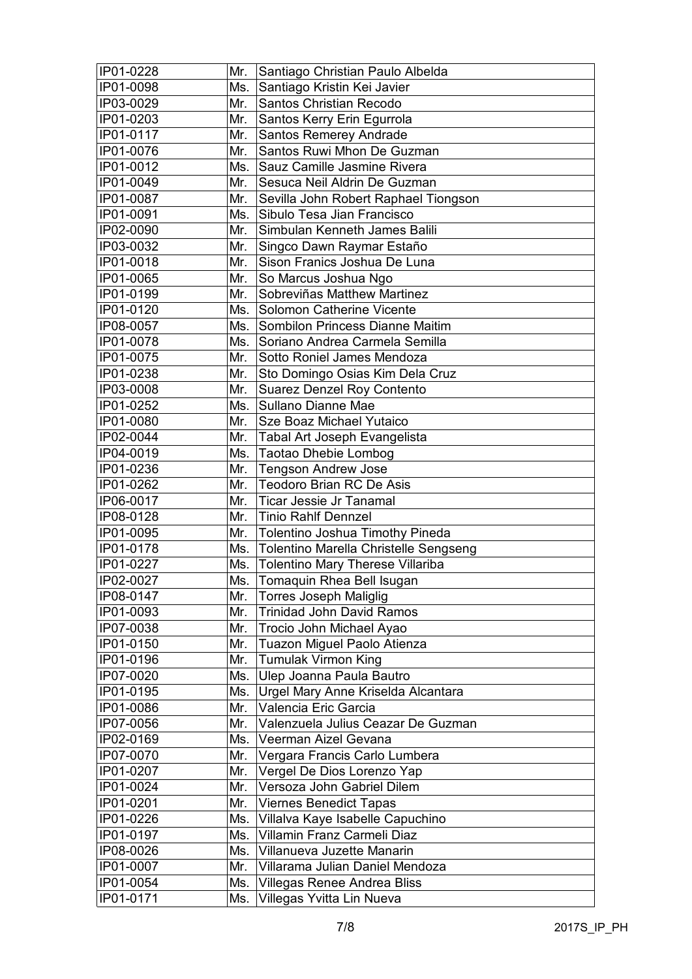| IP01-0228 | Mr. | Santiago Christian Paulo Albelda                        |
|-----------|-----|---------------------------------------------------------|
| IP01-0098 | Ms. | Santiago Kristin Kei Javier                             |
| IP03-0029 | Mr. | <b>Santos Christian Recodo</b>                          |
| IP01-0203 | Mr. | Santos Kerry Erin Egurrola                              |
| IP01-0117 | Mr. | Santos Remerey Andrade                                  |
| IP01-0076 | Mr. | Santos Ruwi Mhon De Guzman                              |
| IP01-0012 | Ms. | Sauz Camille Jasmine Rivera                             |
| IP01-0049 | Mr. | Sesuca Neil Aldrin De Guzman                            |
| IP01-0087 | Mr. | Sevilla John Robert Raphael Tiongson                    |
| IP01-0091 | Ms. | Sibulo Tesa Jian Francisco                              |
| IP02-0090 | Mr. | Simbulan Kenneth James Balili                           |
| IP03-0032 | Mr. | Singco Dawn Raymar Estaño                               |
| IP01-0018 | Mr. | Sison Franics Joshua De Luna                            |
| IP01-0065 | Mr. | So Marcus Joshua Ngo                                    |
| IP01-0199 | Mr. | Sobreviñas Matthew Martinez                             |
| IP01-0120 | Ms. | Solomon Catherine Vicente                               |
| IP08-0057 | Ms. | Sombilon Princess Dianne Maitim                         |
| IP01-0078 | Ms. | Soriano Andrea Carmela Semilla                          |
| IP01-0075 | Mr. | Sotto Roniel James Mendoza                              |
| IP01-0238 | Mr. |                                                         |
|           | Mr. | Sto Domingo Osias Kim Dela Cruz                         |
| IP03-0008 |     | <b>Suarez Denzel Roy Contento</b><br>Sullano Dianne Mae |
| IP01-0252 | Ms. |                                                         |
| IP01-0080 | Mr. | Sze Boaz Michael Yutaico                                |
| IP02-0044 | Mr. | Tabal Art Joseph Evangelista                            |
| IP04-0019 | Ms. | <b>Taotao Dhebie Lombog</b>                             |
| IP01-0236 | Mr. | <b>Tengson Andrew Jose</b>                              |
| IP01-0262 | Mr. | <b>Teodoro Brian RC De Asis</b>                         |
| IP06-0017 | Mr. | <b>Ticar Jessie Jr Tanamal</b>                          |
| IP08-0128 | Mr. | <b>Tinio Rahlf Dennzel</b>                              |
| IP01-0095 | Mr. | Tolentino Joshua Timothy Pineda                         |
| IP01-0178 | Ms. | Tolentino Marella Christelle Sengseng                   |
| IP01-0227 | Ms. | <b>Tolentino Mary Therese Villariba</b>                 |
| IP02-0027 | Ms. | Tomaquin Rhea Bell Isugan                               |
| IP08-0147 | Mr. | <b>Torres Joseph Maliglig</b>                           |
| IP01-0093 | Mr. | Trinidad John David Ramos                               |
| IP07-0038 | Mr. | Trocio John Michael Ayao                                |
| IP01-0150 | Mr. | Tuazon Miguel Paolo Atienza                             |
| IP01-0196 | Mr. | <b>Tumulak Virmon King</b>                              |
| IP07-0020 | Ms. | Ulep Joanna Paula Bautro                                |
| IP01-0195 | Ms. | Urgel Mary Anne Kriselda Alcantara                      |
| IP01-0086 | Mr. | Valencia Eric Garcia                                    |
| IP07-0056 | Mr. | Valenzuela Julius Ceazar De Guzman                      |
| IP02-0169 | Ms. | Veerman Aizel Gevana                                    |
| IP07-0070 | Mr. | Vergara Francis Carlo Lumbera                           |
| IP01-0207 | Mr. | Vergel De Dios Lorenzo Yap                              |
| IP01-0024 | Mr. | Versoza John Gabriel Dilem                              |
| IP01-0201 | Mr. | <b>Viernes Benedict Tapas</b>                           |
| IP01-0226 | Ms. | Villalva Kaye Isabelle Capuchino                        |
| IP01-0197 | Ms. | Villamin Franz Carmeli Diaz                             |
| IP08-0026 | Ms. | Villanueva Juzette Manarin                              |
| IP01-0007 | Mr. | Villarama Julian Daniel Mendoza                         |
| IP01-0054 | Ms. | Villegas Renee Andrea Bliss                             |
| IP01-0171 | Ms. | Villegas Yvitta Lin Nueva                               |